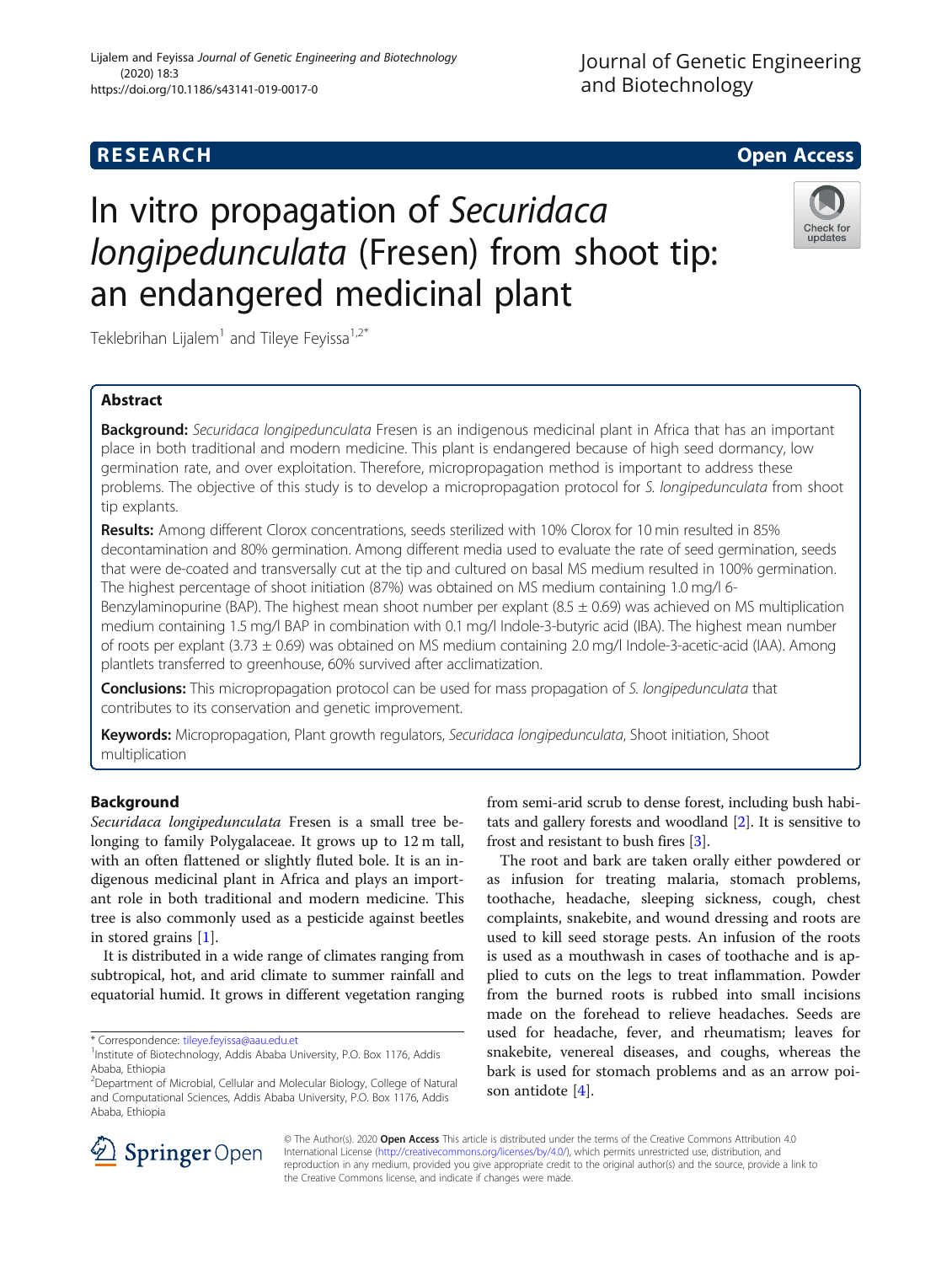# Journal of Genetic Engineering and Biotechnology

# **RESEARCH CHILD CONTROL** CONTROL CONTROL CONTROL CONTROL CONTROL CONTROL CONTROL CONTROL CONTROL CONTROL CONTROL

# In vitro propagation of Securidaca longipedunculata (Fresen) from shoot tip: an endangered medicinal plant



Teklebrihan Lijalem<sup>1</sup> and Tileye Feyissa<sup>1,2\*</sup>

# Abstract

Background: Securidaca longipedunculata Fresen is an indigenous medicinal plant in Africa that has an important place in both traditional and modern medicine. This plant is endangered because of high seed dormancy, low germination rate, and over exploitation. Therefore, micropropagation method is important to address these problems. The objective of this study is to develop a micropropagation protocol for S. longipedunculata from shoot tip explants.

Results: Among different Clorox concentrations, seeds sterilized with 10% Clorox for 10 min resulted in 85% decontamination and 80% germination. Among different media used to evaluate the rate of seed germination, seeds that were de-coated and transversally cut at the tip and cultured on basal MS medium resulted in 100% germination. The highest percentage of shoot initiation (87%) was obtained on MS medium containing 1.0 mg/l 6-

Benzylaminopurine (BAP). The highest mean shoot number per explant (8.5  $\pm$  0.69) was achieved on MS multiplication medium containing 1.5 mg/l BAP in combination with 0.1 mg/l Indole-3-butyric acid (IBA). The highest mean number of roots per explant (3.73 ± 0.69) was obtained on MS medium containing 2.0 mg/l Indole-3-acetic-acid (IAA). Among plantlets transferred to greenhouse, 60% survived after acclimatization.

**Conclusions:** This micropropagation protocol can be used for mass propagation of S. longipedunculata that contributes to its conservation and genetic improvement.

Keywords: Micropropagation, Plant growth regulators, Securidaca longipedunculata, Shoot initiation, Shoot multiplication

# Background

Securidaca longipedunculata Fresen is a small tree belonging to family Polygalaceae. It grows up to 12 m tall, with an often flattened or slightly fluted bole. It is an indigenous medicinal plant in Africa and plays an important role in both traditional and modern medicine. This tree is also commonly used as a pesticide against beetles in stored grains [[1](#page-8-0)].

It is distributed in a wide range of climates ranging from subtropical, hot, and arid climate to summer rainfall and equatorial humid. It grows in different vegetation ranging

\* Correspondence: [tileye.feyissa@aau.edu.et](mailto:tileye.feyissa@aau.edu.et) <sup>1</sup>

from semi-arid scrub to dense forest, including bush habitats and gallery forests and woodland [[2\]](#page-8-0). It is sensitive to frost and resistant to bush fires [\[3](#page-8-0)].

The root and bark are taken orally either powdered or as infusion for treating malaria, stomach problems, toothache, headache, sleeping sickness, cough, chest complaints, snakebite, and wound dressing and roots are used to kill seed storage pests. An infusion of the roots is used as a mouthwash in cases of toothache and is applied to cuts on the legs to treat inflammation. Powder from the burned roots is rubbed into small incisions made on the forehead to relieve headaches. Seeds are used for headache, fever, and rheumatism; leaves for snakebite, venereal diseases, and coughs, whereas the bark is used for stomach problems and as an arrow poison antidote [[4](#page-8-0)].



© The Author(s). 2020 Open Access This article is distributed under the terms of the Creative Commons Attribution 4.0 International License ([http://creativecommons.org/licenses/by/4.0/\)](http://creativecommons.org/licenses/by/4.0/), which permits unrestricted use, distribution, and reproduction in any medium, provided you give appropriate credit to the original author(s) and the source, provide a link to the Creative Commons license, and indicate if changes were made.

<sup>&</sup>lt;sup>1</sup> Institute of Biotechnology, Addis Ababa University, P.O. Box 1176, Addis Ababa, Ethiopia

<sup>2</sup> Department of Microbial, Cellular and Molecular Biology, College of Natural and Computational Sciences, Addis Ababa University, P.O. Box 1176, Addis Ababa, Ethiopia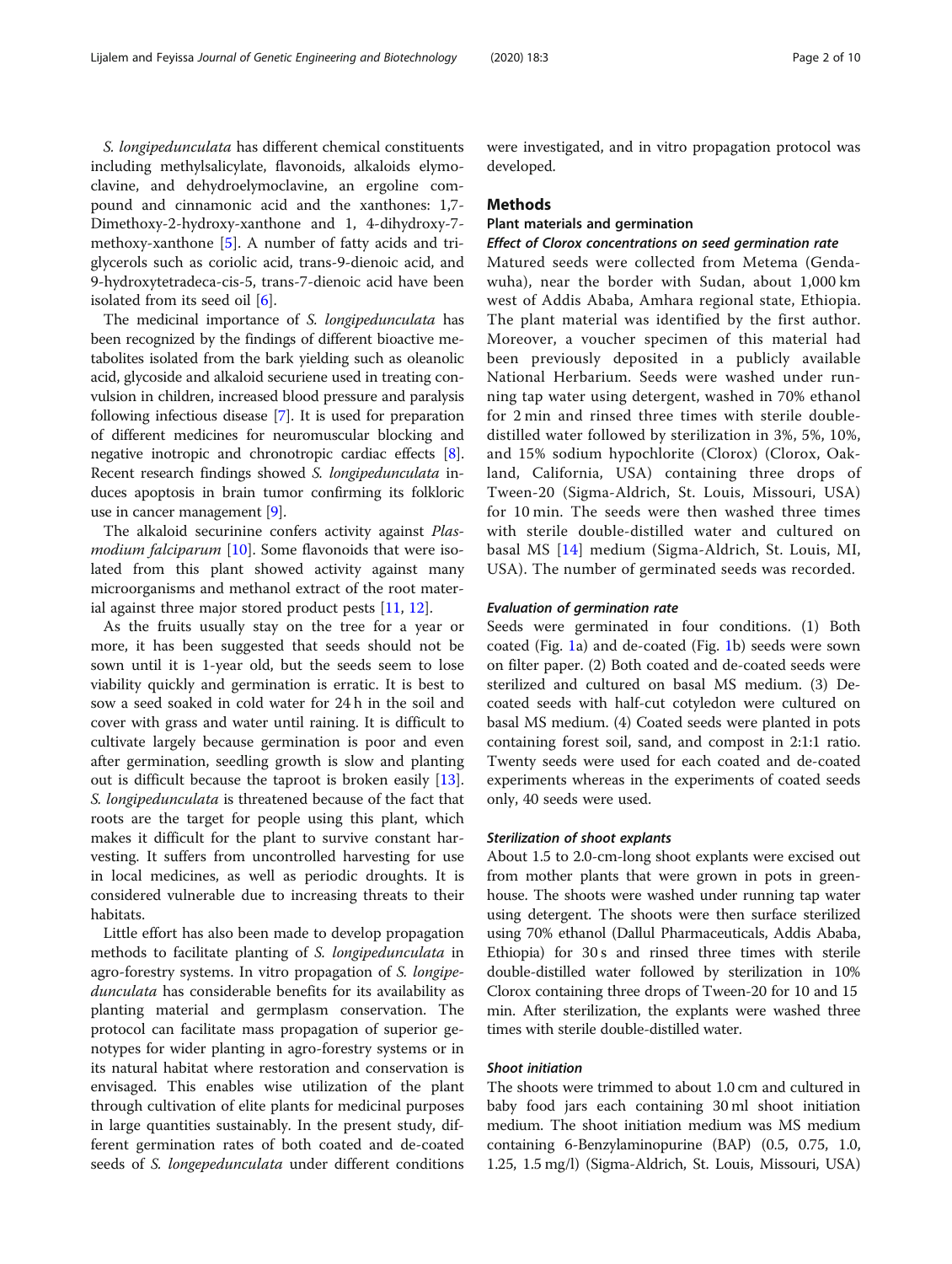S. longipedunculata has different chemical constituents including methylsalicylate, flavonoids, alkaloids elymoclavine, and dehydroelymoclavine, an ergoline compound and cinnamonic acid and the xanthones: 1,7- Dimethoxy-2-hydroxy-xanthone and 1, 4-dihydroxy-7 methoxy-xanthone [[5\]](#page-8-0). A number of fatty acids and triglycerols such as coriolic acid, trans-9-dienoic acid, and 9-hydroxytetradeca-cis-5, trans-7-dienoic acid have been isolated from its seed oil [\[6](#page-8-0)].

The medicinal importance of S. longipedunculata has been recognized by the findings of different bioactive metabolites isolated from the bark yielding such as oleanolic acid, glycoside and alkaloid securiene used in treating convulsion in children, increased blood pressure and paralysis following infectious disease [\[7\]](#page-8-0). It is used for preparation of different medicines for neuromuscular blocking and negative inotropic and chronotropic cardiac effects [[8](#page-8-0)]. Recent research findings showed S. longipedunculata induces apoptosis in brain tumor confirming its folkloric use in cancer management [\[9](#page-8-0)].

The alkaloid securinine confers activity against Plas*modium falciparum* [[10\]](#page-8-0). Some flavonoids that were isolated from this plant showed activity against many microorganisms and methanol extract of the root material against three major stored product pests [[11,](#page-8-0) [12\]](#page-8-0).

As the fruits usually stay on the tree for a year or more, it has been suggested that seeds should not be sown until it is 1-year old, but the seeds seem to lose viability quickly and germination is erratic. It is best to sow a seed soaked in cold water for 24 h in the soil and cover with grass and water until raining. It is difficult to cultivate largely because germination is poor and even after germination, seedling growth is slow and planting out is difficult because the taproot is broken easily [\[13](#page-9-0)]. S. longipedunculata is threatened because of the fact that roots are the target for people using this plant, which makes it difficult for the plant to survive constant harvesting. It suffers from uncontrolled harvesting for use in local medicines, as well as periodic droughts. It is considered vulnerable due to increasing threats to their habitats.

Little effort has also been made to develop propagation methods to facilitate planting of S. longipedunculata in agro-forestry systems. In vitro propagation of S. longipedunculata has considerable benefits for its availability as planting material and germplasm conservation. The protocol can facilitate mass propagation of superior genotypes for wider planting in agro-forestry systems or in its natural habitat where restoration and conservation is envisaged. This enables wise utilization of the plant through cultivation of elite plants for medicinal purposes in large quantities sustainably. In the present study, different germination rates of both coated and de-coated seeds of *S. longepedunculata* under different conditions were investigated, and in vitro propagation protocol was developed.

#### Methods

# Plant materials and germination

#### Effect of Clorox concentrations on seed germination rate

Matured seeds were collected from Metema (Gendawuha), near the border with Sudan, about 1,000 km west of Addis Ababa, Amhara regional state, Ethiopia. The plant material was identified by the first author. Moreover, a voucher specimen of this material had been previously deposited in a publicly available National Herbarium. Seeds were washed under running tap water using detergent, washed in 70% ethanol for 2 min and rinsed three times with sterile doubledistilled water followed by sterilization in 3%, 5%, 10%, and 15% sodium hypochlorite (Clorox) (Clorox, Oakland, California, USA) containing three drops of Tween-20 (Sigma-Aldrich, St. Louis, Missouri, USA) for 10 min. The seeds were then washed three times with sterile double-distilled water and cultured on basal MS [[14\]](#page-9-0) medium (Sigma-Aldrich, St. Louis, MI, USA). The number of germinated seeds was recorded.

#### Evaluation of germination rate

Seeds were germinated in four conditions. (1) Both coated (Fig. [1a](#page-2-0)) and de-coated (Fig. [1b](#page-2-0)) seeds were sown on filter paper. (2) Both coated and de-coated seeds were sterilized and cultured on basal MS medium. (3) Decoated seeds with half-cut cotyledon were cultured on basal MS medium. (4) Coated seeds were planted in pots containing forest soil, sand, and compost in 2:1:1 ratio. Twenty seeds were used for each coated and de-coated experiments whereas in the experiments of coated seeds only, 40 seeds were used.

#### Sterilization of shoot explants

About 1.5 to 2.0-cm-long shoot explants were excised out from mother plants that were grown in pots in greenhouse. The shoots were washed under running tap water using detergent. The shoots were then surface sterilized using 70% ethanol (Dallul Pharmaceuticals, Addis Ababa, Ethiopia) for 30 s and rinsed three times with sterile double-distilled water followed by sterilization in 10% Clorox containing three drops of Tween-20 for 10 and 15 min. After sterilization, the explants were washed three times with sterile double-distilled water.

#### Shoot initiation

The shoots were trimmed to about 1.0 cm and cultured in baby food jars each containing 30 ml shoot initiation medium. The shoot initiation medium was MS medium containing 6-Benzylaminopurine (BAP) (0.5, 0.75, 1.0, 1.25, 1.5 mg/l) (Sigma-Aldrich, St. Louis, Missouri, USA)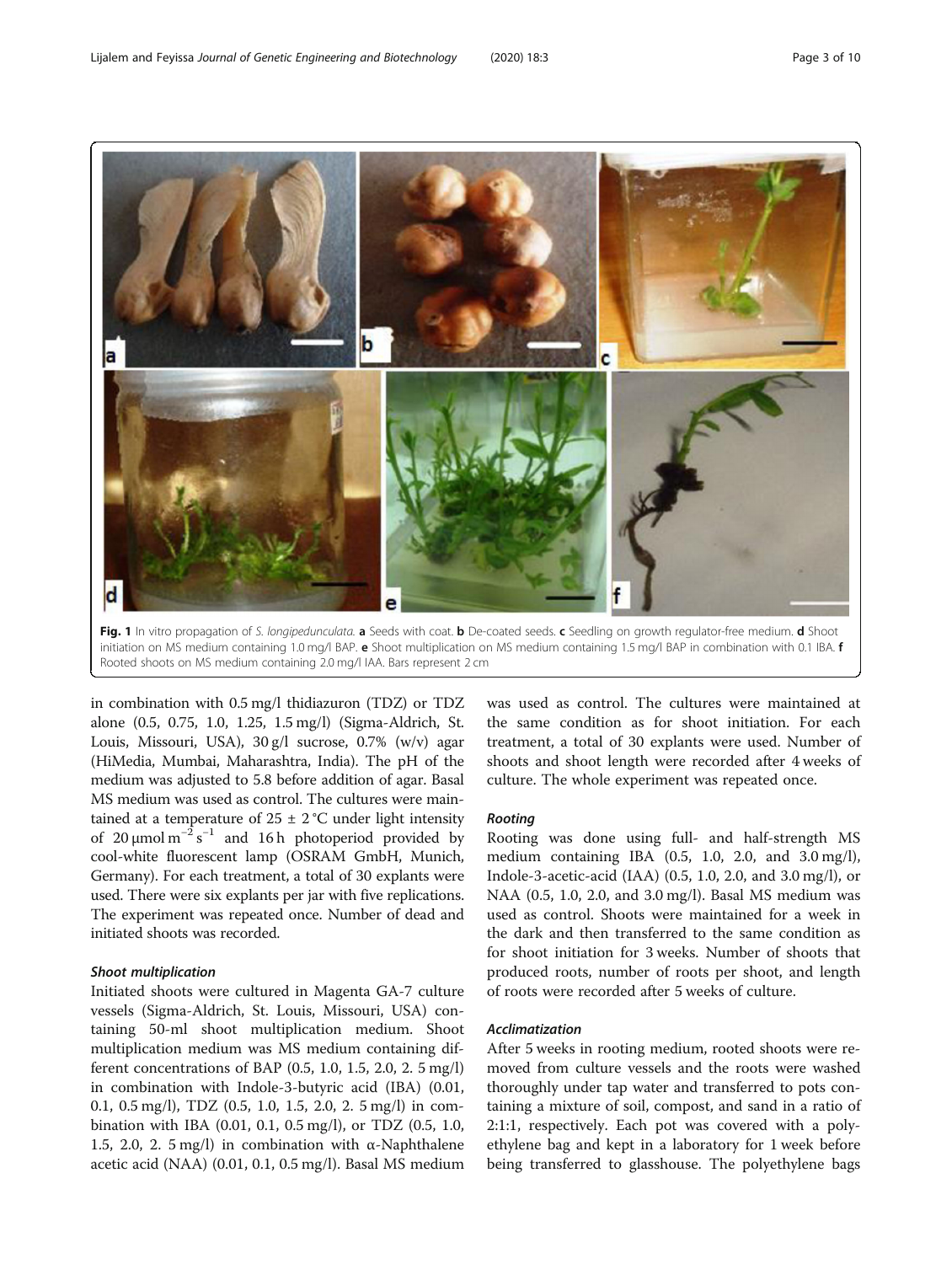<span id="page-2-0"></span>

initiation on MS medium containing 1.0 mg/l BAP. e Shoot multiplication on MS medium containing 1.5 mg/l BAP in combination with 0.1 IBA. f Rooted shoots on MS medium containing 2.0 mg/l IAA. Bars represent 2 cm

in combination with 0.5 mg/l thidiazuron (TDZ) or TDZ alone (0.5, 0.75, 1.0, 1.25, 1.5 mg/l) (Sigma-Aldrich, St. Louis, Missouri, USA), 30 g/l sucrose, 0.7% (w/v) agar (HiMedia, Mumbai, Maharashtra, India). The pH of the medium was adjusted to 5.8 before addition of agar. Basal MS medium was used as control. The cultures were maintained at a temperature of  $25 \pm 2$  °C under light intensity of 20 µmol  $m^{-2} s^{-1}$  and 16 h photoperiod provided by cool-white fluorescent lamp (OSRAM GmbH, Munich, Germany). For each treatment, a total of 30 explants were used. There were six explants per jar with five replications. The experiment was repeated once. Number of dead and initiated shoots was recorded.

#### Shoot multiplication

Initiated shoots were cultured in Magenta GA-7 culture vessels (Sigma-Aldrich, St. Louis, Missouri, USA) containing 50-ml shoot multiplication medium. Shoot multiplication medium was MS medium containing different concentrations of BAP (0.5, 1.0, 1.5, 2.0, 2. 5 mg/l) in combination with Indole-3-butyric acid (IBA) (0.01, 0.1, 0.5 mg/l), TDZ (0.5, 1.0, 1.5, 2.0, 2. 5 mg/l) in combination with IBA (0.01, 0.1, 0.5 mg/l), or TDZ (0.5, 1.0, 1.5, 2.0, 2. 5 mg/l) in combination with  $\alpha$ -Naphthalene acetic acid (NAA) (0.01, 0.1, 0.5 mg/l). Basal MS medium

was used as control. The cultures were maintained at the same condition as for shoot initiation. For each treatment, a total of 30 explants were used. Number of shoots and shoot length were recorded after 4 weeks of culture. The whole experiment was repeated once.

#### Rooting

Rooting was done using full- and half-strength MS medium containing IBA (0.5, 1.0, 2.0, and 3.0 mg/l), Indole-3-acetic-acid (IAA) (0.5, 1.0, 2.0, and 3.0 mg/l), or NAA (0.5, 1.0, 2.0, and 3.0 mg/l). Basal MS medium was used as control. Shoots were maintained for a week in the dark and then transferred to the same condition as for shoot initiation for 3 weeks. Number of shoots that produced roots, number of roots per shoot, and length of roots were recorded after 5 weeks of culture.

#### Acclimatization

After 5 weeks in rooting medium, rooted shoots were removed from culture vessels and the roots were washed thoroughly under tap water and transferred to pots containing a mixture of soil, compost, and sand in a ratio of 2:1:1, respectively. Each pot was covered with a polyethylene bag and kept in a laboratory for 1 week before being transferred to glasshouse. The polyethylene bags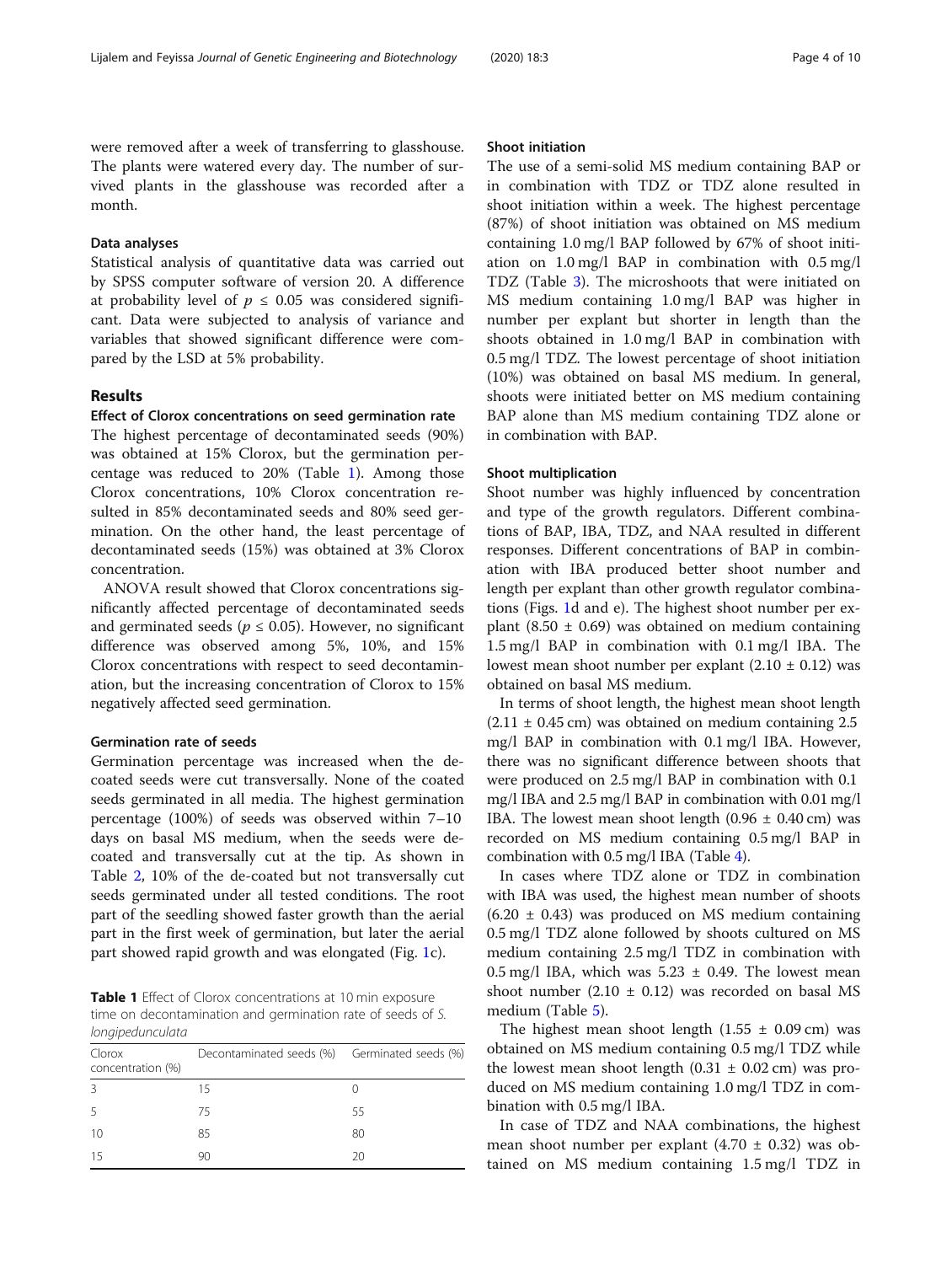were removed after a week of transferring to glasshouse. The plants were watered every day. The number of survived plants in the glasshouse was recorded after a month.

#### Data analyses

Statistical analysis of quantitative data was carried out by SPSS computer software of version 20. A difference at probability level of  $p \leq 0.05$  was considered significant. Data were subjected to analysis of variance and variables that showed significant difference were compared by the LSD at 5% probability.

#### Results

#### Effect of Clorox concentrations on seed germination rate

The highest percentage of decontaminated seeds (90%) was obtained at 15% Clorox, but the germination percentage was reduced to 20% (Table 1). Among those Clorox concentrations, 10% Clorox concentration resulted in 85% decontaminated seeds and 80% seed germination. On the other hand, the least percentage of decontaminated seeds (15%) was obtained at 3% Clorox concentration.

ANOVA result showed that Clorox concentrations significantly affected percentage of decontaminated seeds and germinated seeds ( $p \le 0.05$ ). However, no significant difference was observed among 5%, 10%, and 15% Clorox concentrations with respect to seed decontamination, but the increasing concentration of Clorox to 15% negatively affected seed germination.

### Germination rate of seeds

Germination percentage was increased when the decoated seeds were cut transversally. None of the coated seeds germinated in all media. The highest germination percentage (100%) of seeds was observed within 7–10 days on basal MS medium, when the seeds were decoated and transversally cut at the tip. As shown in Table [2,](#page-4-0) 10% of the de-coated but not transversally cut seeds germinated under all tested conditions. The root part of the seedling showed faster growth than the aerial part in the first week of germination, but later the aerial part showed rapid growth and was elongated (Fig. [1](#page-2-0)c).

Table 1 Effect of Clorox concentrations at 10 min exposure time on decontamination and germination rate of seeds of S. longipedunculata

| Clorox<br>concentration (%) | Decontaminated seeds (%) Germinated seeds (%) |    |
|-----------------------------|-----------------------------------------------|----|
| 3                           | 15                                            |    |
| -5                          | 75                                            | 55 |
| 10                          | 85                                            | 80 |
| 15                          | 90                                            | 20 |
|                             |                                               |    |

#### Shoot initiation

The use of a semi-solid MS medium containing BAP or in combination with TDZ or TDZ alone resulted in shoot initiation within a week. The highest percentage (87%) of shoot initiation was obtained on MS medium containing 1.0 mg/l BAP followed by 67% of shoot initiation on 1.0 mg/l BAP in combination with 0.5 mg/l TDZ (Table [3\)](#page-4-0). The microshoots that were initiated on MS medium containing 1.0 mg/l BAP was higher in number per explant but shorter in length than the shoots obtained in 1.0 mg/l BAP in combination with 0.5 mg/l TDZ. The lowest percentage of shoot initiation (10%) was obtained on basal MS medium. In general, shoots were initiated better on MS medium containing BAP alone than MS medium containing TDZ alone or in combination with BAP.

#### Shoot multiplication

Shoot number was highly influenced by concentration and type of the growth regulators. Different combinations of BAP, IBA, TDZ, and NAA resulted in different responses. Different concentrations of BAP in combination with IBA produced better shoot number and length per explant than other growth regulator combinations (Figs. [1](#page-2-0)d and e). The highest shoot number per explant (8.50  $\pm$  0.69) was obtained on medium containing 1.5 mg/l BAP in combination with 0.1 mg/l IBA. The lowest mean shoot number per explant  $(2.10 \pm 0.12)$  was obtained on basal MS medium.

In terms of shoot length, the highest mean shoot length  $(2.11 \pm 0.45 \text{ cm})$  was obtained on medium containing 2.5 mg/l BAP in combination with 0.1 mg/l IBA. However, there was no significant difference between shoots that were produced on 2.5 mg/l BAP in combination with 0.1 mg/l IBA and 2.5 mg/l BAP in combination with 0.01 mg/l IBA. The lowest mean shoot length  $(0.96 \pm 0.40 \text{ cm})$  was recorded on MS medium containing 0.5 mg/l BAP in combination with 0.5 mg/l IBA (Table [4](#page-4-0)).

In cases where TDZ alone or TDZ in combination with IBA was used, the highest mean number of shoots  $(6.20 \pm 0.43)$  was produced on MS medium containing 0.5 mg/l TDZ alone followed by shoots cultured on MS medium containing 2.5 mg/l TDZ in combination with  $0.5 \,\text{mg/l}$  IBA, which was  $5.23 \pm 0.49$ . The lowest mean shoot number (2.10  $\pm$  0.12) was recorded on basal MS medium (Table [5\)](#page-5-0).

The highest mean shoot length  $(1.55 \pm 0.09 \text{ cm})$  was obtained on MS medium containing 0.5 mg/l TDZ while the lowest mean shoot length  $(0.31 \pm 0.02 \text{ cm})$  was produced on MS medium containing 1.0 mg/l TDZ in combination with 0.5 mg/l IBA.

In case of TDZ and NAA combinations, the highest mean shoot number per explant  $(4.70 \pm 0.32)$  was obtained on MS medium containing 1.5 mg/l TDZ in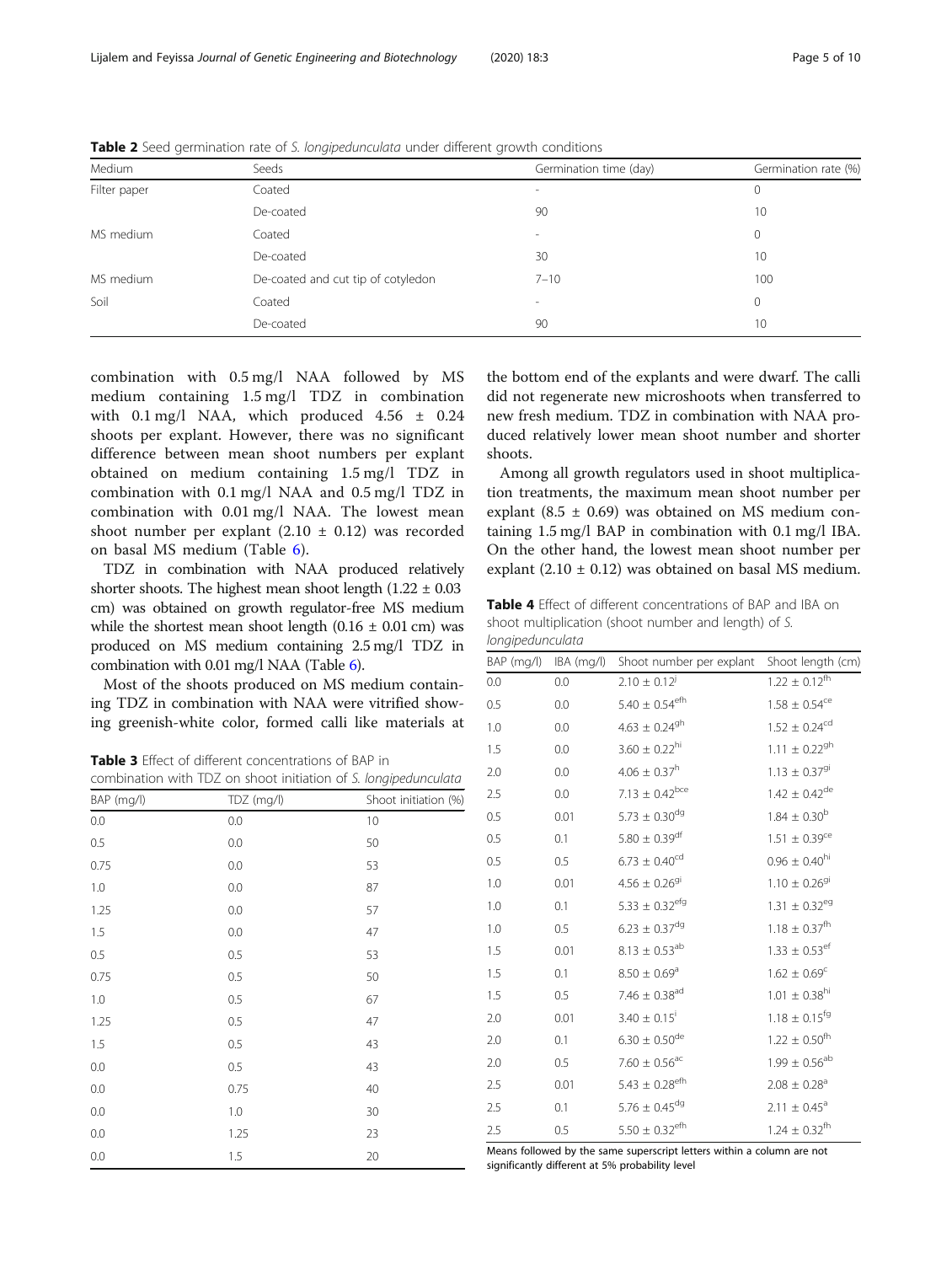| Medium                                          | Seeds     | Germination time (day)   | Germination rate (%) |
|-------------------------------------------------|-----------|--------------------------|----------------------|
| Filter paper                                    | Coated    | $\sim$                   | 0                    |
|                                                 | De-coated | 90                       | 10                   |
| MS medium                                       | Coated    | $\sim$                   | 0                    |
|                                                 | De-coated | 30                       | 10                   |
| MS medium<br>De-coated and cut tip of cotyledon |           | $7 - 10$                 | 100                  |
| Soil                                            | Coated    | $\overline{\phantom{a}}$ | 0                    |
|                                                 | De-coated | 90                       | 10                   |

<span id="page-4-0"></span>Table 2 Seed germination rate of S. longipedunculata under different growth conditions

combination with 0.5 mg/l NAA followed by MS medium containing 1.5 mg/l TDZ in combination with 0.1 mg/l NAA, which produced 4.56 ± 0.24 shoots per explant. However, there was no significant difference between mean shoot numbers per explant obtained on medium containing 1.5 mg/l TDZ in combination with 0.1 mg/l NAA and 0.5 mg/l TDZ in combination with 0.01 mg/l NAA. The lowest mean shoot number per explant  $(2.10 \pm 0.12)$  was recorded on basal MS medium (Table [6](#page-5-0)).

TDZ in combination with NAA produced relatively shorter shoots. The highest mean shoot length  $(1.22 \pm 0.03)$ cm) was obtained on growth regulator-free MS medium while the shortest mean shoot length  $(0.16 \pm 0.01 \text{ cm})$  was produced on MS medium containing 2.5 mg/l TDZ in combination with 0.01 mg/l NAA (Table [6](#page-5-0)).

Most of the shoots produced on MS medium containing TDZ in combination with NAA were vitrified showing greenish-white color, formed calli like materials at

Table 3 Effect of different concentrations of BAP in combination with TDZ on shoot initiation of S. longipedunculata

| BAP (mg/l) | TDZ (mg/l) | Shoot initiation (%) |
|------------|------------|----------------------|
| 0.0        | 0.0        | 10                   |
| 0.5        | 0.0        | 50                   |
| 0.75       | 0.0        | 53                   |
| 1.0        | 0.0        | 87                   |
| 1.25       | 0.0        | 57                   |
| 1.5        | 0.0        | 47                   |
| 0.5        | 0.5        | 53                   |
| 0.75       | 0.5        | 50                   |
| 1.0        | 0.5        | 67                   |
| 1.25       | 0.5        | 47                   |
| 1.5        | 0.5        | 43                   |
| $0.0\,$    | 0.5        | 43                   |
| 0.0        | 0.75       | 40                   |
| 0.0        | 1.0        | 30                   |
| 0.0        | 1.25       | 23                   |
| 0.0        | 1.5        | 20                   |

the bottom end of the explants and were dwarf. The calli did not regenerate new microshoots when transferred to new fresh medium. TDZ in combination with NAA produced relatively lower mean shoot number and shorter shoots.

Among all growth regulators used in shoot multiplication treatments, the maximum mean shoot number per explant (8.5  $\pm$  0.69) was obtained on MS medium containing 1.5 mg/l BAP in combination with 0.1 mg/l IBA. On the other hand, the lowest mean shoot number per explant  $(2.10 \pm 0.12)$  was obtained on basal MS medium.

Table 4 Effect of different concentrations of BAP and IBA on shoot multiplication (shoot number and length) of S. longipedunculata

| BAP (mg/l) | IBA (mg/l) | Shoot number per explant       | Shoot length (cm)             |
|------------|------------|--------------------------------|-------------------------------|
| 0.0        | 0.0        | $2.10 \pm 0.12^{j}$            | $1.22 \pm 0.12^{\rm fh}$      |
| 0.5        | 0.0        | $5.40 \pm 0.54^{\rm efb}$      | $1.58 \pm 0.54$ <sup>ce</sup> |
| 1.0        | 0.0        | $4.63 \pm 0.24^{gh}$           | $1.52 \pm 0.24^{cd}$          |
| 1.5        | 0.0        | $3.60 \pm 0.22^{\text{hi}}$    | $1.11 \pm 0.22^{9h}$          |
| 2.0        | 0.0        | $4.06 \pm 0.37^h$              | $1.13 \pm 0.37^{91}$          |
| 2.5        | 0.0        | $7.13 \pm 0.42^{bce}$          | $1.42 \pm 0.42^{\rm de}$      |
| 0.5        | 0.01       | $5.73 \pm 0.30^{dg}$           | $1.84 \pm 0.30^{\rm b}$       |
| 0.5        | 0.1        | $5.80 \pm 0.39^{\rm df}$       | $1.51 \pm 0.39$ <sup>ce</sup> |
| 0.5        | 0.5        | $6.73 \pm 0.40^{cd}$           | $0.96 \pm 0.40^{\text{hi}}$   |
| 1.0        | 0.01       | $4.56 \pm 0.26$ <sup>gi</sup>  | $1.10 \pm 0.26^{9}$           |
| 1.0        | 0.1        | $5.33 \pm 0.32^{efg}$          | $1.31 \pm 0.32$ <sup>eg</sup> |
| 1.0        | 0.5        | $6.23 \pm 0.37^{\rm dg}$       | $1.18 \pm 0.37^{\rm fh}$      |
| 1.5        | 0.01       | $8.13 \pm 0.53^{ab}$           | $1.33 \pm 0.53$ <sup>ef</sup> |
| 1.5        | 0.1        | $8.50 \pm 0.69^{\rm a}$        | $1.62 \pm 0.69^c$             |
| 1.5        | 0.5        | 7.46 $\pm$ 0.38 <sup>ad</sup>  | $1.01 \pm 0.38^{\text{hi}}$   |
| 2.0        | 0.01       | $3.40 \pm 0.15^{\rm i}$        | $1.18 \pm 0.15^{\text{fg}}$   |
| 2.0        | 0.1        | $6.30 \pm 0.50^{\rm de}$       | $1.22 \pm 0.50^{\rm fh}$      |
| 2.0        | 0.5        | $7.60 \pm 0.56^{\text{ac}}$    | $1.99 \pm 0.56^{ab}$          |
| 2.5        | 0.01       | $5.43 \pm 0.28$ <sup>efh</sup> | $2.08 \pm 0.28$ <sup>a</sup>  |
| 2.5        | 0.1        | $5.76 \pm 0.45^{\rm dg}$       | $2.11 \pm 0.45$ <sup>a</sup>  |
| 2.5        | 0.5        | $5.50 \pm 0.32$ <sup>efh</sup> | $1.24 \pm 0.32^{\text{fh}}$   |

Means followed by the same superscript letters within a column are not significantly different at 5% probability level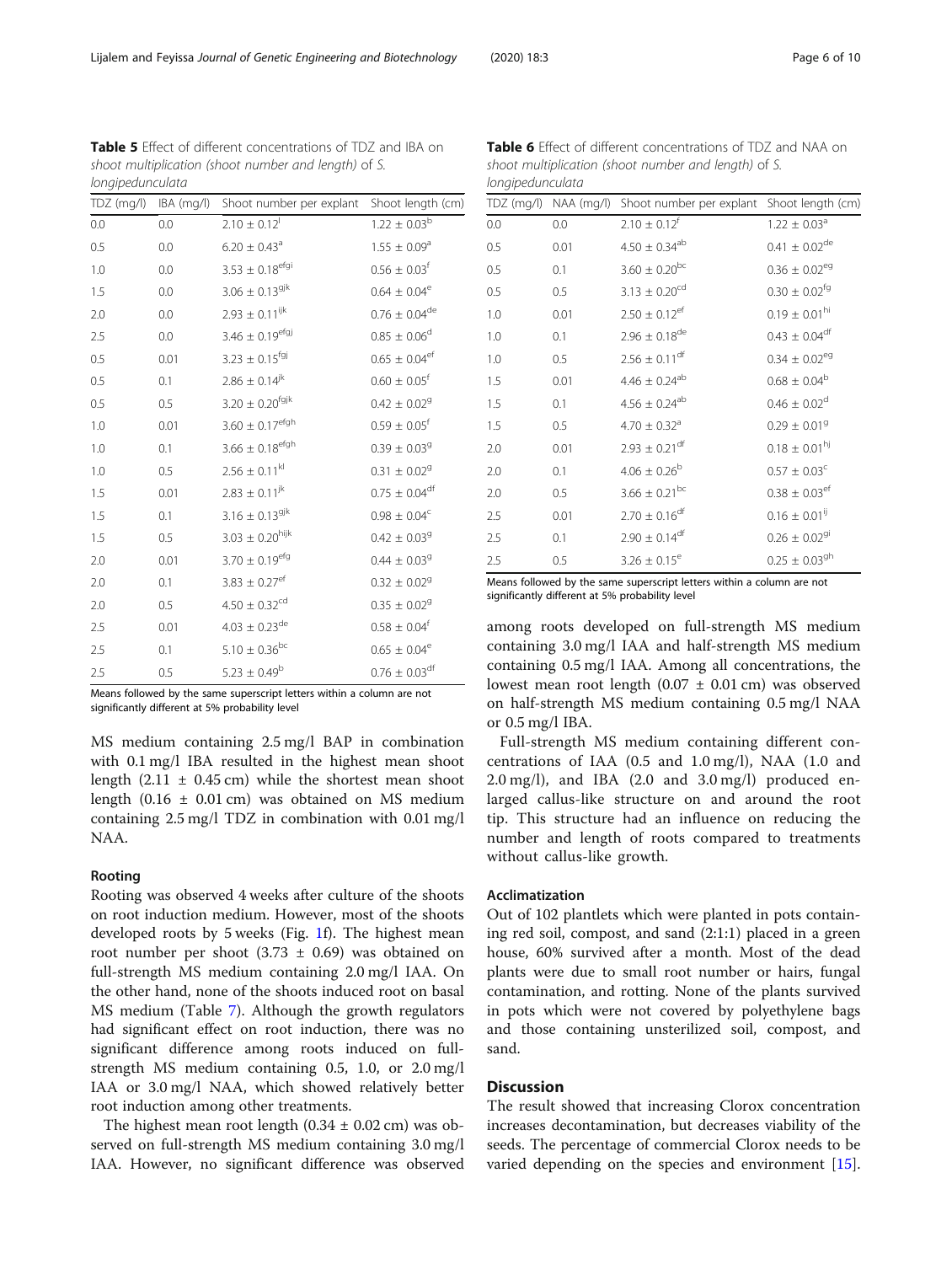Means followed by the same superscript letters within a column are not significantly different at 5% probability level

MS medium containing 2.5 mg/l BAP in combination with 0.1 mg/l IBA resulted in the highest mean shoot length  $(2.11 \pm 0.45 \text{ cm})$  while the shortest mean shoot length  $(0.16 \pm 0.01 \text{ cm})$  was obtained on MS medium containing 2.5 mg/l TDZ in combination with 0.01 mg/l NAA.

#### Rooting

Rooting was observed 4 weeks after culture of the shoots on root induction medium. However, most of the shoots developed roots by 5 weeks (Fig. [1](#page-2-0)f). The highest mean root number per shoot  $(3.73 \pm 0.69)$  was obtained on full-strength MS medium containing 2.0 mg/l IAA. On the other hand, none of the shoots induced root on basal MS medium (Table [7\)](#page-6-0). Although the growth regulators had significant effect on root induction, there was no significant difference among roots induced on fullstrength MS medium containing 0.5, 1.0, or 2.0 mg/l IAA or 3.0 mg/l NAA, which showed relatively better root induction among other treatments.

The highest mean root length  $(0.34 \pm 0.02 \text{ cm})$  was observed on full-strength MS medium containing 3.0 mg/l IAA. However, no significant difference was observed 2.5 0.5 3.26  $\pm$  0.15<sup>e</sup> 0.25  $\pm$  0.03<sup>gh</sup> Means followed by the same superscript letters within a column are not

significantly different at 5% probability level

among roots developed on full-strength MS medium containing 3.0 mg/l IAA and half-strength MS medium containing 0.5 mg/l IAA. Among all concentrations, the lowest mean root length  $(0.07 \pm 0.01 \text{ cm})$  was observed on half-strength MS medium containing 0.5 mg/l NAA or 0.5 mg/l IBA.

Full-strength MS medium containing different concentrations of IAA (0.5 and 1.0 mg/l), NAA (1.0 and 2.0 mg/l), and IBA (2.0 and 3.0 mg/l) produced enlarged callus-like structure on and around the root tip. This structure had an influence on reducing the number and length of roots compared to treatments without callus-like growth.

#### Acclimatization

Out of 102 plantlets which were planted in pots containing red soil, compost, and sand (2:1:1) placed in a green house, 60% survived after a month. Most of the dead plants were due to small root number or hairs, fungal contamination, and rotting. None of the plants survived in pots which were not covered by polyethylene bags and those containing unsterilized soil, compost, and sand.

## **Discussion**

The result showed that increasing Clorox concentration increases decontamination, but decreases viability of the seeds. The percentage of commercial Clorox needs to be varied depending on the species and environment [\[15](#page-9-0)].

<span id="page-5-0"></span>

| Table 5 Effect of different concentrations of TDZ and IBA on |                                                      |                                                                  |  |  |  |  |
|--------------------------------------------------------------|------------------------------------------------------|------------------------------------------------------------------|--|--|--|--|
|                                                              | shoot multiplication (shoot number and length) of S. |                                                                  |  |  |  |  |
| longipedunculata                                             |                                                      |                                                                  |  |  |  |  |
|                                                              |                                                      | TDZ (mg/l) IBA (mg/l) Shoot number per explant Shoot length (cm) |  |  |  |  |

| 0.0 | 0.0  | $2.10 \pm 0.12$ <sup>1</sup> | $1.22 \pm 0.03^{\rm b}$       |
|-----|------|------------------------------|-------------------------------|
| 0.5 | 0.0  | $6.20\pm0.43^{\mathrm{a}}$   | $1.55\,\pm\,0.09^{\rm a}$     |
| 1.0 | 0.0  | $3.53 \pm 0.18^{\rm efgi}$   | $0.56 \pm 0.03^{\rm f}$       |
| 1.5 | 0.0  | $3.06 \pm 0.13^{9jk}$        | $0.64\,\pm\,0.04^{\rm e}$     |
| 2.0 | 0.0  | $2.93 \pm 0.11^{ijk}$        | $0.76 \pm 0.04^{\rm de}$      |
| 2.5 | 0.0  | $3.46 \pm 0.19^{\rm efgj}$   | $0.85\,\pm\,0.06^{\rm d}$     |
| 0.5 | 0.01 | $3.23 \pm 0.15^{\text{fgj}}$ | $0.65 \pm 0.04^{\rm ef}$      |
| 0.5 | 0.1  | $2.86 \pm 0.14^{jk}$         | $0.60 \pm 0.05$ <sup>f</sup>  |
| 0.5 | 0.5  | $3.20 \pm 0.20^{fgjk}$       | $0.42\,\pm\,0.02^9$           |
| 1.0 | 0.01 | $3.60\pm0.17^{\rm efgh}$     | $0.59 \pm 0.05$ <sup>f</sup>  |
| 1.0 | 0.1  | $3.66\pm0.18^{\rm efgh}$     | $0.39 \pm 0.03$ <sup>g</sup>  |
| 1.0 | 0.5  | $2.56 \pm 0.11^{kl}$         | $0.31 \pm 0.02$ <sup>g</sup>  |
| 1.5 | 0.01 | $2.83 \pm 0.11^{jk}$         | $0.75 \pm 0.04^{\rm df}$      |
| 1.5 | 0.1  | $3.16 \pm 0.13^{9jk}$        | $0.98\,\pm\,0.04^{\circ}$     |
| 1.5 | 0.5  | $3.03 \pm 0.20^{\rm hijk}$   | $0.42 \pm 0.03$ <sup>g</sup>  |
| 2.0 | 0.01 | $3.70 \pm 0.19^{\rm efg}$    | $0.44 \pm 0.03$ <sup>g</sup>  |
| 2.0 | 0.1  | $3.83 \pm 0.27^{\rm e f}$    | $0.32 \pm 0.02^9$             |
| 2.0 | 0.5  | $4.50 \pm 0.32^{cd}$         | $0.35\,\pm\,0.02^9$           |
| 2.5 | 0.01 | $4.03 \pm 0.23^{\rm de}$     | $0.58 \pm 0.04^{\rm f}$       |
| 2.5 | 0.1  | $5.10 \pm 0.36^{bc}$         | $0.65\,\pm\,0.04^{\rm e}$     |
| 2.5 | 0.5  | $5.23 \pm 0.49^b$            | $0.76\,\pm\,0.03^{\text{df}}$ |

| Table 6 Effect of different concentrations of TDZ and NAA on |  |
|--------------------------------------------------------------|--|
| shoot multiplication (shoot number and length) of S.         |  |
| longipedunculata                                             |  |

TDZ (mg/l) NAA (mg/l) Shoot number per explant Shoot length (cm) 0.0 0.0  $2.10 + 0.12^{\circ}$   $1.22 + 0.03^{\circ}$ 0.5 0.01  $4.50 \pm 0.34^{ab}$  0.41  $\pm 0.02^{de}$ 0.5 0.1  $3.60 \pm 0.20^{bc}$  0.36  $\pm 0.02^{eg}$ 0.5 0.5  $3.13 + 0.20^{\text{cd}}$  0.30 + 0.02<sup>fg</sup> 1.0 0.01  $2.50 \pm 0.12$ <sup>ef</sup> 0.19  $\pm 0.01$ <sup>hi</sup> 1.0 0.1 2.96  $\pm$  0.18<sup>de</sup> 0.43  $\pm$  0.04<sup>df</sup> 1.0 0.5 2.56  $\pm$  0.11<sup>df</sup> 0.34  $\pm$  0.02<sup>eg</sup> 1.5 0.01  $4.46 \pm 0.24^{ab}$  0.68  $\pm 0.04^{b}$ 1.5 0.1  $4.56 \pm 0.24$ <sup>ab</sup> 0.46  $\pm 0.02$ <sup>d</sup> 1.5 0.5 4.70  $\pm$  0.32<sup>a</sup> 0.29  $\pm$  0.01<sup>9</sup> 2.0 0.01  $2.93 \pm 0.21$ <sup>df</sup> 0.18  $\pm 0.01$ <sup>hj</sup> 2.0 0.1  $4.06 \pm 0.26^b$  0.57  $\pm 0.03^c$ 2.0 0.5  $3.66 + 0.21^{bc}$  0.38 + 0.03<sup>ef</sup> 2.5 0.01  $2.70 + 0.16^{df}$  0.16  $\pm 0.01^{ij}$ 2.5 0.1 2.90  $\pm$  0.14<sup>df</sup> 0.26  $\pm$  0.02<sup>gi</sup>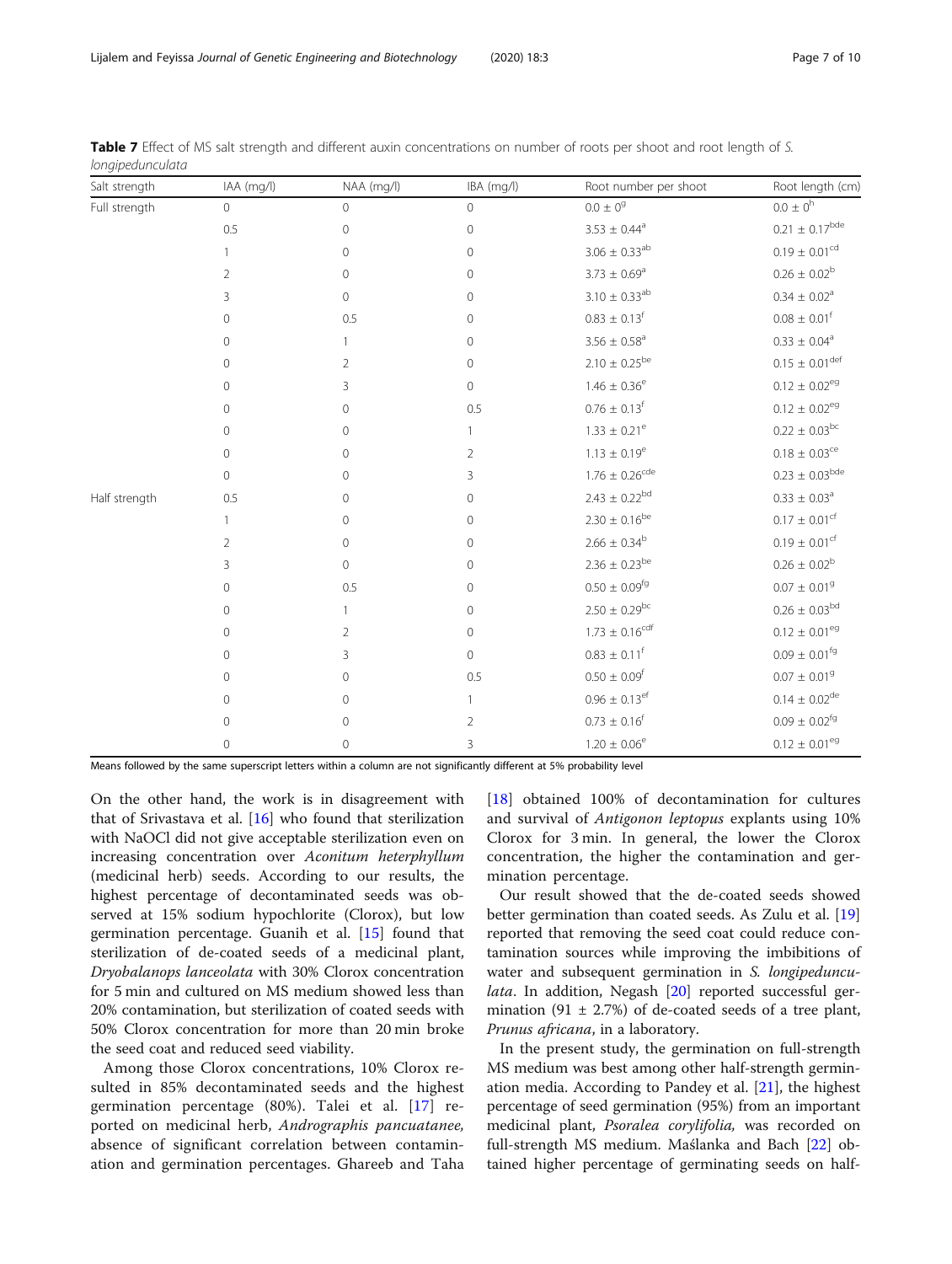| Salt strength | IAA (mg/l)     | NAA (mg/l)     | IBA (mg/l)     | Root number per shoot          | Root length (cm)               |
|---------------|----------------|----------------|----------------|--------------------------------|--------------------------------|
| Full strength | $\overline{0}$ | $\overline{0}$ | $\overline{0}$ | $0.0\,\pm\,0^9$                | $0.0 \pm 0^{h}$                |
|               | 0.5            | $\mathbf 0$    | $\overline{0}$ | $3.53 \pm 0.44^a$              | $0.21 \pm 0.17^{bde}$          |
|               |                | $\mathbf 0$    | $\mathbf{0}$   | $3.06 \pm 0.33^{ab}$           | $0.19\pm0.01^{\rm cd}$         |
|               | 2              | 0              | $\mathbf{0}$   | $3.73 \pm 0.69^a$              | $0.26 \pm 0.02^b$              |
|               | 3              | $\overline{0}$ | $\mathbf{0}$   | $3.10 \pm 0.33^{ab}$           | $0.34 \pm 0.02^a$              |
|               | 0              | 0.5            | $\mathbf 0$    | $0.83 \pm 0.13$ <sup>f</sup>   | $0.08 \pm 0.01^{\rm f}$        |
|               | 0              |                | $\mathbf 0$    | $3.56 \pm 0.58^{\text{a}}$     | $0.33 \pm 0.04^a$              |
|               | $\mathbf{0}$   | $\overline{2}$ | $\circ$        | $2.10 \pm 0.25^{\rm be}$       | $0.15 \pm 0.01^{\text{def}}$   |
|               | $\mathbf 0$    | 3              | $\overline{0}$ | $1.46 \pm 0.36^e$              | $0.12 \pm 0.02^{\text{eg}}$    |
|               | $\mathbf 0$    | $\overline{0}$ | 0.5            | $0.76 \pm 0.13^{\rm f}$        | $0.12 \pm 0.02$ <sup>eg</sup>  |
|               | 0              | $\Omega$       |                | $1.33 \pm 0.21^e$              | $0.22 \pm 0.03^{bc}$           |
|               | $\mathbf 0$    | $\mathbf 0$    | 2              | $1.13\,\pm\,0.19^{\rm e}$      | $0.18\pm0.03^{\rm ce}$         |
|               | $\overline{0}$ | $\mathbf 0$    | 3              | $1.76 \pm 0.26$ <sup>cde</sup> | $0.23 \pm 0.03^{bde}$          |
| Half strength | 0.5            | 0              | $\overline{0}$ | $2.43 \pm 0.22^{bd}$           | $0.33\,\pm\,0.03^{\mathrm{a}}$ |
|               | 1              | $\mathbf 0$    | $\overline{0}$ | $2.30 \pm 0.16^{be}$           | $0.17 \pm 0.01^{\rm cf}$       |
|               | $\overline{2}$ | $\overline{0}$ | $\circ$        | $2.66 \pm 0.34^b$              | $0.19 \pm 0.01^{\text{cf}}$    |
|               | 3              | $\overline{0}$ | $\mathbf{0}$   | $2.36 \pm 0.23^{be}$           | $0.26\pm0.02^{\rm b}$          |
|               | $\mathbf 0$    | 0.5            | $\mathbf 0$    | $0.50 \pm 0.09^{\text{fg}}$    | $0.07\pm0.01^9$                |
|               | $\mathbf 0$    | 1              | $\mathbf{0}$   | $2.50 \pm 0.29^{bc}$           | $0.26 \pm 0.03^{bd}$           |
|               | $\mathbf 0$    | $\overline{2}$ | $\mathbf{0}$   | $1.73 \pm 0.16^{cdf}$          | $0.12 \pm 0.01^{\text{eg}}$    |
|               | 0              | 3              | $\overline{0}$ | $0.83 \pm 0.11^f$              | $0.09 \pm 0.01^{\text{fg}}$    |
|               | 0              | $\overline{0}$ | 0.5            | $0.50 \pm 0.09^{\text{f}}$     | $0.07\pm0.01^g$                |
|               | $\mathbf{0}$   | $\circ$        | 1              | $0.96 \pm 0.13^{\rm ef}$       | $0.14 \pm 0.02^{\text{de}}$    |
|               | $\mathbf 0$    | $\mathbf 0$    | $\overline{2}$ | $0.73 \pm 0.16$ <sup>f</sup>   | $0.09 \pm 0.02^{fg}$           |
|               | 0              | $\mathbf{0}$   | 3              | $1.20 \pm 0.06^e$              | $0.12 \pm 0.01^{eg}$           |

<span id="page-6-0"></span>Table 7 Effect of MS salt strength and different auxin concentrations on number of roots per shoot and root length of S. longipedunculata

Means followed by the same superscript letters within a column are not significantly different at 5% probability level

On the other hand, the work is in disagreement with that of Srivastava et al. [[16](#page-9-0)] who found that sterilization with NaOCl did not give acceptable sterilization even on increasing concentration over Aconitum heterphyllum (medicinal herb) seeds. According to our results, the highest percentage of decontaminated seeds was observed at 15% sodium hypochlorite (Clorox), but low germination percentage. Guanih et al. [[15](#page-9-0)] found that sterilization of de-coated seeds of a medicinal plant, Dryobalanops lanceolata with 30% Clorox concentration for 5 min and cultured on MS medium showed less than 20% contamination, but sterilization of coated seeds with 50% Clorox concentration for more than 20 min broke the seed coat and reduced seed viability.

Among those Clorox concentrations, 10% Clorox resulted in 85% decontaminated seeds and the highest germination percentage (80%). Talei et al. [[17\]](#page-9-0) reported on medicinal herb, Andrographis pancuatanee, absence of significant correlation between contamination and germination percentages. Ghareeb and Taha

[[18\]](#page-9-0) obtained 100% of decontamination for cultures and survival of Antigonon leptopus explants using 10% Clorox for 3 min. In general, the lower the Clorox concentration, the higher the contamination and germination percentage.

Our result showed that the de-coated seeds showed better germination than coated seeds. As Zulu et al. [[19](#page-9-0)] reported that removing the seed coat could reduce contamination sources while improving the imbibitions of water and subsequent germination in S. longipeduncu-lata. In addition, Negash [[20\]](#page-9-0) reported successful germination (91  $\pm$  2.7%) of de-coated seeds of a tree plant, Prunus africana, in a laboratory.

In the present study, the germination on full-strength MS medium was best among other half-strength germination media. According to Pandey et al. [[21\]](#page-9-0), the highest percentage of seed germination (95%) from an important medicinal plant, Psoralea corylifolia, was recorded on full-strength MS medium. Maślanka and Bach [[22](#page-9-0)] obtained higher percentage of germinating seeds on half-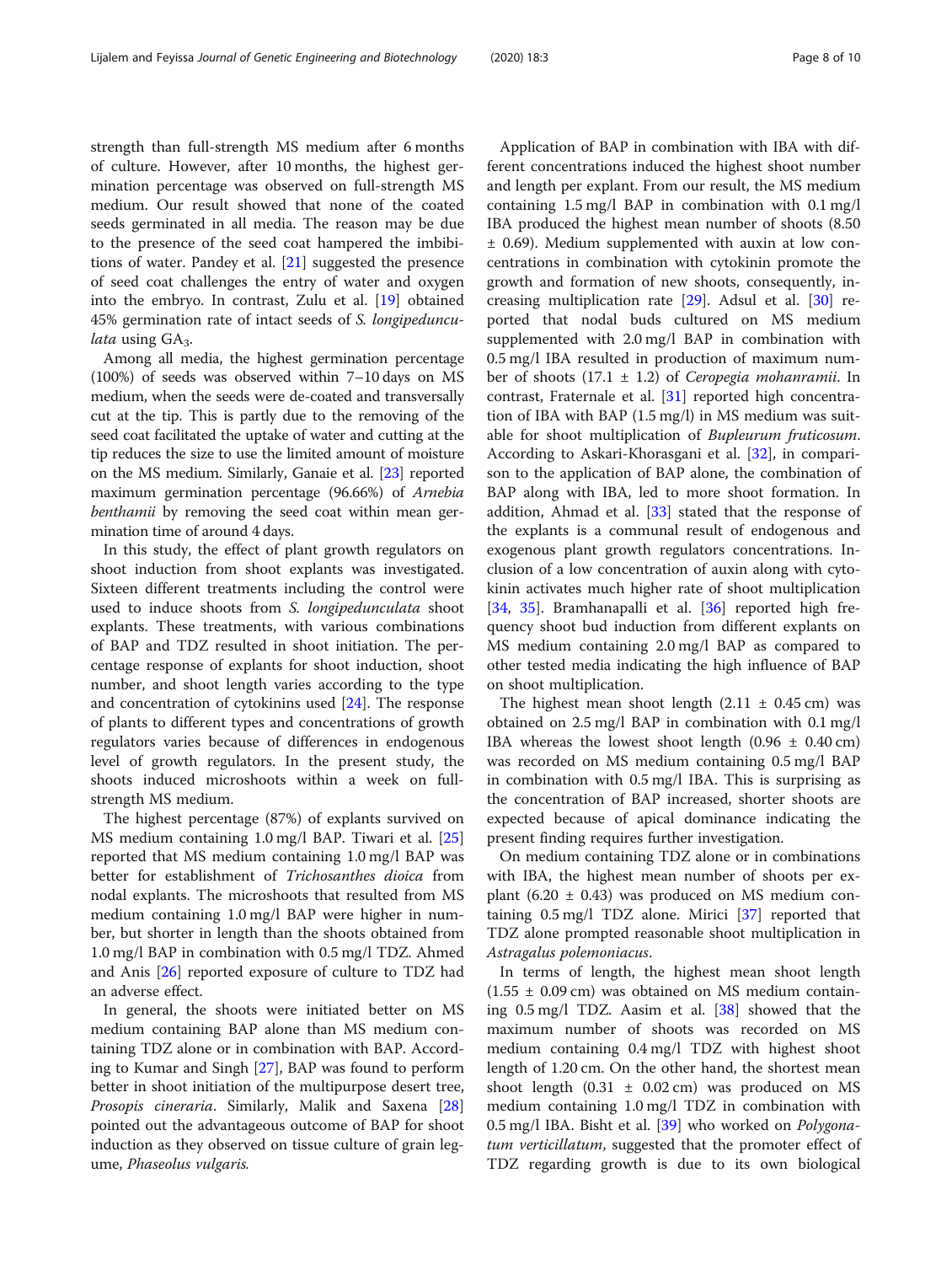strength than full-strength MS medium after 6 months of culture. However, after 10 months, the highest germination percentage was observed on full-strength MS medium. Our result showed that none of the coated seeds germinated in all media. The reason may be due to the presence of the seed coat hampered the imbibitions of water. Pandey et al. [\[21](#page-9-0)] suggested the presence of seed coat challenges the entry of water and oxygen into the embryo. In contrast, Zulu et al. [[19\]](#page-9-0) obtained 45% germination rate of intact seeds of S. longipeduncu*lata* using  $GA_3$ .

Among all media, the highest germination percentage (100%) of seeds was observed within 7–10 days on MS medium, when the seeds were de-coated and transversally cut at the tip. This is partly due to the removing of the seed coat facilitated the uptake of water and cutting at the tip reduces the size to use the limited amount of moisture on the MS medium. Similarly, Ganaie et al. [\[23\]](#page-9-0) reported maximum germination percentage (96.66%) of Arnebia benthamii by removing the seed coat within mean germination time of around 4 days.

In this study, the effect of plant growth regulators on shoot induction from shoot explants was investigated. Sixteen different treatments including the control were used to induce shoots from S. longipedunculata shoot explants. These treatments, with various combinations of BAP and TDZ resulted in shoot initiation. The percentage response of explants for shoot induction, shoot number, and shoot length varies according to the type and concentration of cytokinins used [[24](#page-9-0)]. The response of plants to different types and concentrations of growth regulators varies because of differences in endogenous level of growth regulators. In the present study, the shoots induced microshoots within a week on fullstrength MS medium.

The highest percentage (87%) of explants survived on MS medium containing 1.0 mg/l BAP. Tiwari et al. [[25](#page-9-0)] reported that MS medium containing 1.0 mg/l BAP was better for establishment of Trichosanthes dioica from nodal explants. The microshoots that resulted from MS medium containing 1.0 mg/l BAP were higher in number, but shorter in length than the shoots obtained from 1.0 mg/l BAP in combination with 0.5 mg/l TDZ. Ahmed and Anis [[26\]](#page-9-0) reported exposure of culture to TDZ had an adverse effect.

In general, the shoots were initiated better on MS medium containing BAP alone than MS medium containing TDZ alone or in combination with BAP. According to Kumar and Singh [[27\]](#page-9-0), BAP was found to perform better in shoot initiation of the multipurpose desert tree, Prosopis cineraria. Similarly, Malik and Saxena [[28](#page-9-0)] pointed out the advantageous outcome of BAP for shoot induction as they observed on tissue culture of grain legume, Phaseolus vulgaris.

Application of BAP in combination with IBA with different concentrations induced the highest shoot number and length per explant. From our result, the MS medium containing 1.5 mg/l BAP in combination with 0.1 mg/l IBA produced the highest mean number of shoots (8.50 ± 0.69). Medium supplemented with auxin at low concentrations in combination with cytokinin promote the growth and formation of new shoots, consequently, increasing multiplication rate [\[29](#page-9-0)]. Adsul et al. [[30\]](#page-9-0) reported that nodal buds cultured on MS medium supplemented with 2.0 mg/l BAP in combination with 0.5 mg/l IBA resulted in production of maximum number of shoots  $(17.1 \pm 1.2)$  of *Ceropegia mohanramii*. In contrast, Fraternale et al. [[31\]](#page-9-0) reported high concentration of IBA with BAP (1.5 mg/l) in MS medium was suitable for shoot multiplication of Bupleurum fruticosum. According to Askari-Khorasgani et al. [[32](#page-9-0)], in comparison to the application of BAP alone, the combination of BAP along with IBA, led to more shoot formation. In addition, Ahmad et al. [\[33](#page-9-0)] stated that the response of the explants is a communal result of endogenous and exogenous plant growth regulators concentrations. Inclusion of a low concentration of auxin along with cytokinin activates much higher rate of shoot multiplication [[34,](#page-9-0) [35](#page-9-0)]. Bramhanapalli et al. [[36](#page-9-0)] reported high frequency shoot bud induction from different explants on MS medium containing 2.0 mg/l BAP as compared to other tested media indicating the high influence of BAP on shoot multiplication.

The highest mean shoot length  $(2.11 \pm 0.45 \text{ cm})$  was obtained on 2.5 mg/l BAP in combination with 0.1 mg/l IBA whereas the lowest shoot length  $(0.96 \pm 0.40 \text{ cm})$ was recorded on MS medium containing 0.5 mg/l BAP in combination with 0.5 mg/l IBA. This is surprising as the concentration of BAP increased, shorter shoots are expected because of apical dominance indicating the present finding requires further investigation.

On medium containing TDZ alone or in combinations with IBA, the highest mean number of shoots per explant (6.20  $\pm$  0.43) was produced on MS medium containing 0.5 mg/l TDZ alone. Mirici [\[37\]](#page-9-0) reported that TDZ alone prompted reasonable shoot multiplication in Astragalus polemoniacus.

In terms of length, the highest mean shoot length  $(1.55 \pm 0.09 \text{ cm})$  was obtained on MS medium containing 0.5 mg/l TDZ. Aasim et al. [[38\]](#page-9-0) showed that the maximum number of shoots was recorded on MS medium containing 0.4 mg/l TDZ with highest shoot length of 1.20 cm. On the other hand, the shortest mean shoot length  $(0.31 \pm 0.02 \text{ cm})$  was produced on MS medium containing 1.0 mg/l TDZ in combination with 0.5 mg/l IBA. Bisht et al. [[39\]](#page-9-0) who worked on *Polygona*tum verticillatum, suggested that the promoter effect of TDZ regarding growth is due to its own biological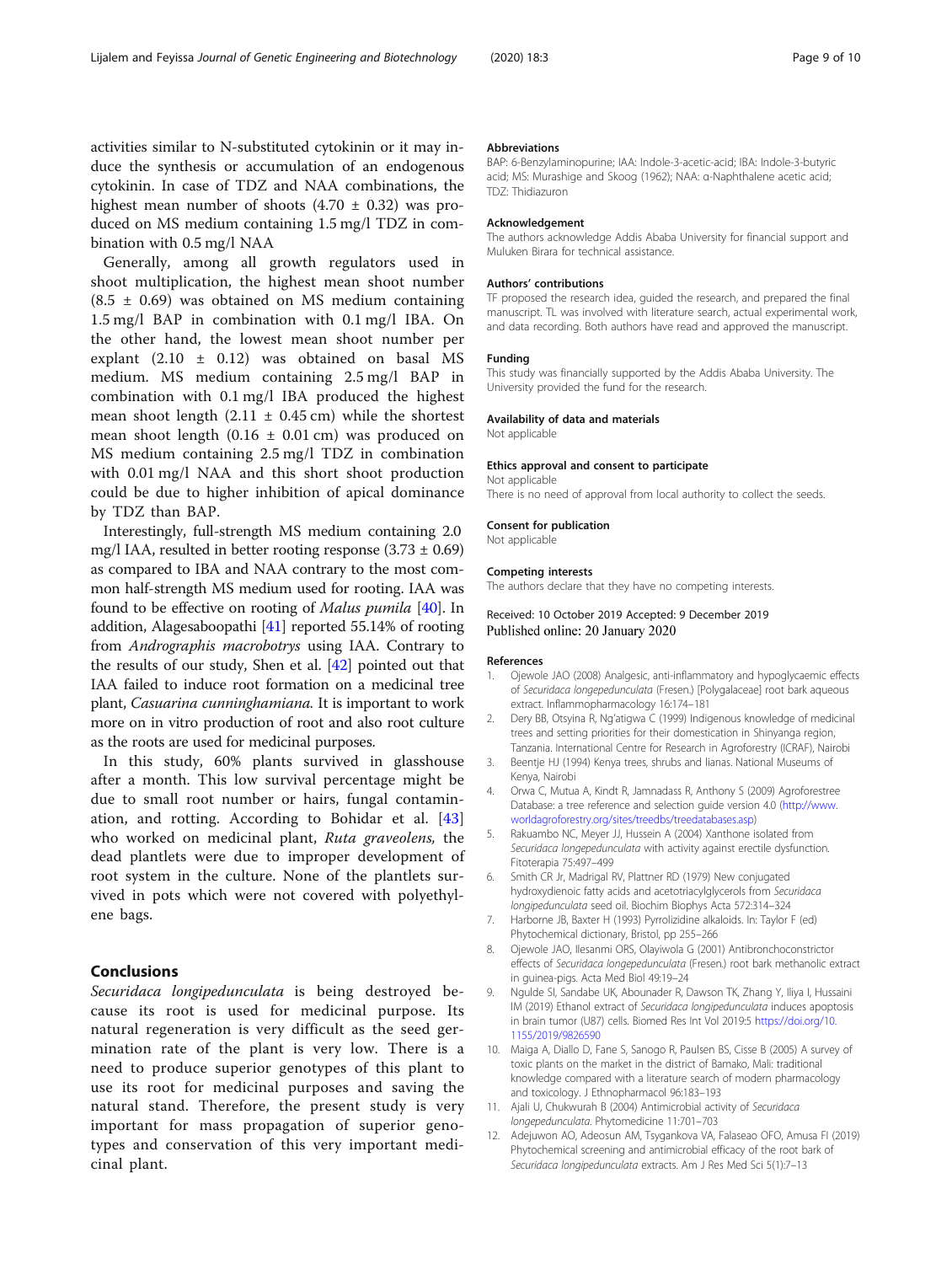<span id="page-8-0"></span>activities similar to N-substituted cytokinin or it may induce the synthesis or accumulation of an endogenous cytokinin. In case of TDZ and NAA combinations, the highest mean number of shoots  $(4.70 \pm 0.32)$  was produced on MS medium containing 1.5 mg/l TDZ in combination with 0.5 mg/l NAA

Generally, among all growth regulators used in shoot multiplication, the highest mean shoot number  $(8.5 \pm 0.69)$  was obtained on MS medium containing 1.5 mg/l BAP in combination with 0.1 mg/l IBA. On the other hand, the lowest mean shoot number per explant (2.10 ± 0.12) was obtained on basal MS medium. MS medium containing 2.5 mg/l BAP in combination with 0.1 mg/l IBA produced the highest mean shoot length  $(2.11 \pm 0.45 \text{ cm})$  while the shortest mean shoot length (0.16  $\pm$  0.01 cm) was produced on MS medium containing 2.5 mg/l TDZ in combination with 0.01 mg/l NAA and this short shoot production could be due to higher inhibition of apical dominance by TDZ than BAP.

Interestingly, full-strength MS medium containing 2.0 mg/l IAA, resulted in better rooting response  $(3.73 \pm 0.69)$ as compared to IBA and NAA contrary to the most common half-strength MS medium used for rooting. IAA was found to be effective on rooting of Malus pumila [[40\]](#page-9-0). In addition, Alagesaboopathi [[41](#page-9-0)] reported 55.14% of rooting from Andrographis macrobotrys using IAA. Contrary to the results of our study, Shen et al. [[42](#page-9-0)] pointed out that IAA failed to induce root formation on a medicinal tree plant, Casuarina cunninghamiana. It is important to work more on in vitro production of root and also root culture as the roots are used for medicinal purposes.

In this study, 60% plants survived in glasshouse after a month. This low survival percentage might be due to small root number or hairs, fungal contamination, and rotting. According to Bohidar et al. [\[43](#page-9-0)] who worked on medicinal plant, Ruta graveolens, the dead plantlets were due to improper development of root system in the culture. None of the plantlets survived in pots which were not covered with polyethylene bags.

#### Conclusions

Securidaca longipedunculata is being destroyed because its root is used for medicinal purpose. Its natural regeneration is very difficult as the seed germination rate of the plant is very low. There is a need to produce superior genotypes of this plant to use its root for medicinal purposes and saving the natural stand. Therefore, the present study is very important for mass propagation of superior genotypes and conservation of this very important medicinal plant.

#### Abbreviations

BAP: 6-Benzylaminopurine; IAA: Indole-3-acetic-acid; IBA: Indole-3-butyric acid; MS: Murashige and Skoog (1962); NAA: α-Naphthalene acetic acid; TDZ: Thidiazuron

#### Acknowledgement

The authors acknowledge Addis Ababa University for financial support and Muluken Birara for technical assistance.

#### Authors' contributions

TF proposed the research idea, guided the research, and prepared the final manuscript. TL was involved with literature search, actual experimental work, and data recording. Both authors have read and approved the manuscript.

#### Funding

This study was financially supported by the Addis Ababa University. The University provided the fund for the research.

#### Availability of data and materials

Not applicable

#### Ethics approval and consent to participate

Not applicable

There is no need of approval from local authority to collect the seeds.

# Consent for publication

Not applicable

#### Competing interests

The authors declare that they have no competing interests.

#### Received: 10 October 2019 Accepted: 9 December 2019 Published online: 20 January 2020

#### References

- 1. Ojewole JAO (2008) Analgesic, anti-inflammatory and hypoglycaemic effects of Securidaca longepedunculata (Fresen.) [Polygalaceae] root bark aqueous extract. Inflammopharmacology 16:174–181
- 2. Dery BB, Otsyina R, Ng'atigwa C (1999) Indigenous knowledge of medicinal trees and setting priorities for their domestication in Shinyanga region, Tanzania. International Centre for Research in Agroforestry (ICRAF), Nairobi
- 3. Beentje HJ (1994) Kenya trees, shrubs and lianas. National Museums of Kenya, Nairobi
- 4. Orwa C, Mutua A, Kindt R, Jamnadass R, Anthony S (2009) Agroforestree Database: a tree reference and selection guide version 4.0 ([http://www.](http://www.worldagroforestry.org/sites/treedbs/treedatabases.asp) [worldagroforestry.org/sites/treedbs/treedatabases.asp\)](http://www.worldagroforestry.org/sites/treedbs/treedatabases.asp)
- 5. Rakuambo NC, Meyer JJ, Hussein A (2004) Xanthone isolated from Securidaca longepedunculata with activity against erectile dysfunction. Fitoterapia 75:497–499
- 6. Smith CR Jr, Madrigal RV, Plattner RD (1979) New conjugated hydroxydienoic fatty acids and acetotriacylglycerols from Securidaca longipedunculata seed oil. Biochim Biophys Acta 572:314–324
- 7. Harborne JB, Baxter H (1993) Pyrrolizidine alkaloids. In: Taylor F (ed) Phytochemical dictionary, Bristol, pp 255–266
- 8. Ojewole JAO, Ilesanmi ORS, Olayiwola G (2001) Antibronchoconstrictor effects of Securidaca longepedunculata (Fresen.) root bark methanolic extract in guinea-pigs. Acta Med Biol 49:19–24
- 9. Ngulde SI, Sandabe UK, Abounader R, Dawson TK, Zhang Y, Iliya I, Hussaini IM (2019) Ethanol extract of Securidaca longipedunculata induces apoptosis in brain tumor (U87) cells. Biomed Res Int Vol 2019:5 [https://doi.org/10.](https://doi.org/10.1155/2019/9826590) [1155/2019/9826590](https://doi.org/10.1155/2019/9826590)
- 10. Maiga A, Diallo D, Fane S, Sanogo R, Paulsen BS, Cisse B (2005) A survey of toxic plants on the market in the district of Bamako, Mali: traditional knowledge compared with a literature search of modern pharmacology and toxicology. J Ethnopharmacol 96:183–193
- 11. Ajali U, Chukwurah B (2004) Antimicrobial activity of Securidaca longepedunculata. Phytomedicine 11:701–703
- 12. Adejuwon AO, Adeosun AM, Tsygankova VA, Falaseao OFO, Amusa FI (2019) Phytochemical screening and antimicrobial efficacy of the root bark of Securidaca longipedunculata extracts. Am J Res Med Sci 5(1):7–13